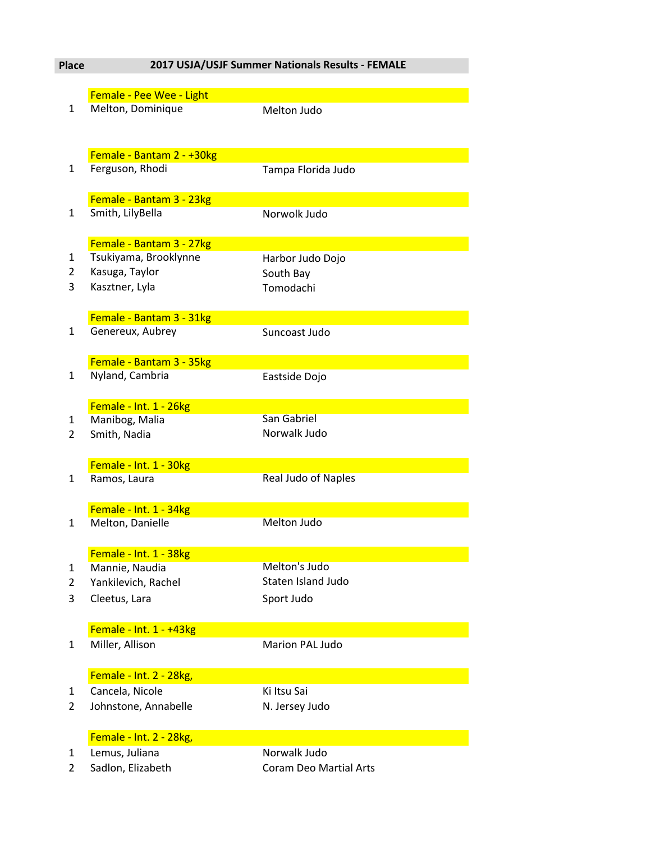## **Place 2017 USJA/USJF Summer Nationals Results - FEMALE**

|                | Female - Pee Wee - Light  |                               |
|----------------|---------------------------|-------------------------------|
| $\mathbf{1}$   | Melton, Dominique         | Melton Judo                   |
|                |                           |                               |
|                |                           |                               |
|                |                           |                               |
|                | Female - Bantam 2 - +30kg |                               |
| 1              | Ferguson, Rhodi           | Tampa Florida Judo            |
|                |                           |                               |
|                | Female - Bantam 3 - 23kg  |                               |
| $\mathbf{1}$   | Smith, LilyBella          | Norwolk Judo                  |
|                |                           |                               |
|                | Female - Bantam 3 - 27kg  |                               |
| $\mathbf{1}$   | Tsukiyama, Brooklynne     | Harbor Judo Dojo              |
| $\overline{2}$ | Kasuga, Taylor            | South Bay                     |
| 3              | Kasztner, Lyla            | Tomodachi                     |
|                |                           |                               |
|                |                           |                               |
|                | Female - Bantam 3 - 31kg  |                               |
| 1              | Genereux, Aubrey          | Suncoast Judo                 |
|                |                           |                               |
|                | Female - Bantam 3 - 35kg  |                               |
| 1              | Nyland, Cambria           | Eastside Dojo                 |
|                |                           |                               |
|                | Female - Int. 1 - 26kg    |                               |
| 1              | Manibog, Malia            | San Gabriel                   |
| $\overline{2}$ | Smith, Nadia              | Norwalk Judo                  |
|                |                           |                               |
|                | Female - Int. 1 - 30kg    |                               |
| $\mathbf{1}$   | Ramos, Laura              | <b>Real Judo of Naples</b>    |
|                |                           |                               |
|                |                           |                               |
|                | Female - Int. 1 - 34kg    |                               |
| 1              | Melton, Danielle          | <b>Melton Judo</b>            |
|                |                           |                               |
|                | Female - Int. 1 - 38kg    |                               |
| 1              | Mannie, Naudia            | Melton's Judo                 |
| $\overline{2}$ | Yankilevich, Rachel       | Staten Island Judo            |
| 3              | Cleetus, Lara             | Sport Judo                    |
|                |                           |                               |
|                |                           |                               |
|                | Female - Int. 1 - +43kg   |                               |
| 1              | Miller, Allison           | Marion PAL Judo               |
|                |                           |                               |
|                | Female - Int. 2 - 28kg,   |                               |
| 1              | Cancela, Nicole           | Ki Itsu Sai                   |
| $\overline{2}$ | Johnstone, Annabelle      | N. Jersey Judo                |
|                |                           |                               |
|                | Female - Int. 2 - 28kg,   |                               |
|                |                           | Norwalk Judo                  |
| 1              | Lemus, Juliana            |                               |
| 2              | Sadlon, Elizabeth         | <b>Coram Deo Martial Arts</b> |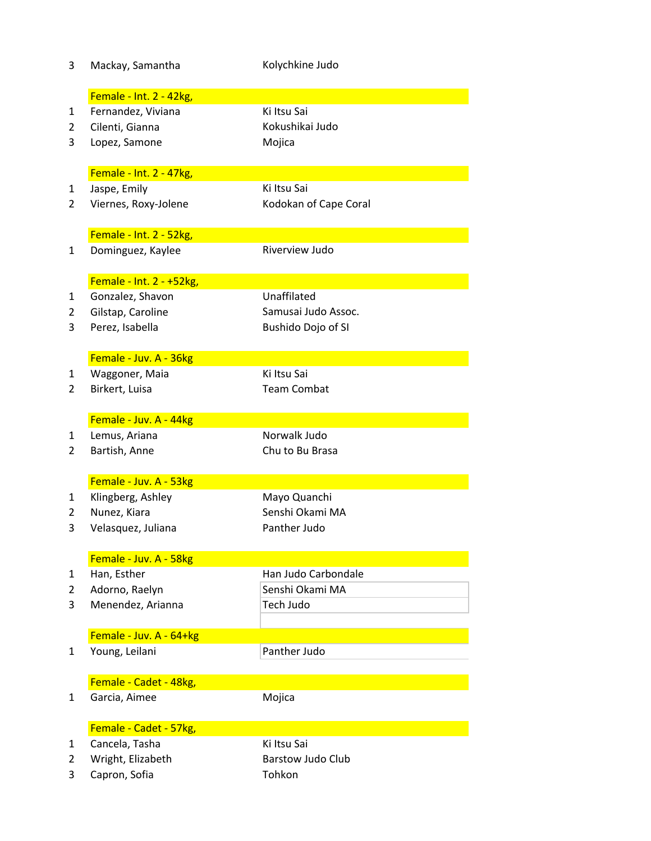| 3              | Mackay, Samantha         | Kolychkine Judo          |  |  |
|----------------|--------------------------|--------------------------|--|--|
|                | Female - Int. 2 - 42kg,  |                          |  |  |
| $\mathbf{1}$   | Fernandez, Viviana       | Ki Itsu Sai              |  |  |
| 2              | Cilenti, Gianna          | Kokushikai Judo          |  |  |
| 3              | Lopez, Samone            | Mojica                   |  |  |
|                |                          |                          |  |  |
|                | Female - Int. 2 - 47kg,  |                          |  |  |
| 1              | Jaspe, Emily             | Ki Itsu Sai              |  |  |
| 2              | Viernes, Roxy-Jolene     | Kodokan of Cape Coral    |  |  |
|                | Female - Int. 2 - 52kg,  |                          |  |  |
| $\mathbf{1}$   | Dominguez, Kaylee        | Riverview Judo           |  |  |
|                | Female - Int. 2 - +52kg, |                          |  |  |
| 1              | Gonzalez, Shavon         | Unaffilated              |  |  |
| 2              | Gilstap, Caroline        | Samusai Judo Assoc.      |  |  |
| 3              | Perez, Isabella          | Bushido Dojo of SI       |  |  |
|                |                          |                          |  |  |
|                | Female - Juv. A - 36kg   |                          |  |  |
| $\mathbf{1}$   | Waggoner, Maia           | Ki Itsu Sai              |  |  |
| 2              | Birkert, Luisa           | <b>Team Combat</b>       |  |  |
|                | Female - Juv. A - 44kg   |                          |  |  |
| $\mathbf{1}$   | Lemus, Ariana            | Norwalk Judo             |  |  |
| 2              | Bartish, Anne            | Chu to Bu Brasa          |  |  |
|                |                          |                          |  |  |
|                | Female - Juv. A - 53kg   |                          |  |  |
| 1              | Klingberg, Ashley        | Mayo Quanchi             |  |  |
| 2              | Nunez, Kiara             | Senshi Okami MA          |  |  |
| 3              | Velasquez, Juliana       | Panther Judo             |  |  |
|                | Female - Juv. A - 58kg   |                          |  |  |
| $\mathbf{1}$   | Han, Esther              | Han Judo Carbondale      |  |  |
| $\overline{2}$ | Adorno, Raelyn           | Senshi Okami MA          |  |  |
| 3              | Menendez, Arianna        | Tech Judo                |  |  |
|                |                          |                          |  |  |
|                | Female - Juv. A - 64+kg  |                          |  |  |
| $\mathbf{1}$   | Young, Leilani           | Panther Judo             |  |  |
|                | Female - Cadet - 48kg,   |                          |  |  |
| $\mathbf{1}$   | Garcia, Aimee            | Mojica                   |  |  |
|                | Female - Cadet - 57kg,   |                          |  |  |
| $\mathbf{1}$   | Cancela, Tasha           | Ki Itsu Sai              |  |  |
| 2              | Wright, Elizabeth        | <b>Barstow Judo Club</b> |  |  |
| 3              | Capron, Sofia            | Tohkon                   |  |  |
|                |                          |                          |  |  |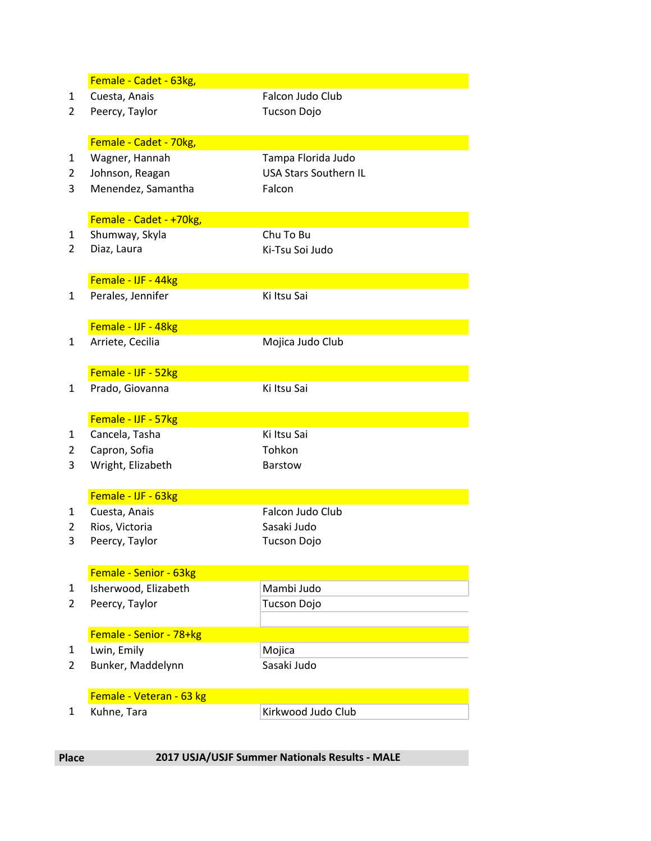|              | Female - Cadet - 63kg,                  |                              |
|--------------|-----------------------------------------|------------------------------|
| 1            | Cuesta, Anais                           | Falcon Judo Club             |
| 2            | Peercy, Taylor                          | <b>Tucson Dojo</b>           |
|              |                                         |                              |
|              | Female - Cadet - 70kg,                  |                              |
| 1            | Wagner, Hannah                          | Tampa Florida Judo           |
| 2            | Johnson, Reagan                         | <b>USA Stars Southern IL</b> |
| 3            | Menendez, Samantha                      | Falcon                       |
|              |                                         |                              |
|              | Female - Cadet - +70kg,                 |                              |
| 1            | Shumway, Skyla                          | Chu To Bu                    |
| 2            | Diaz, Laura                             | Ki-Tsu Soi Judo              |
|              |                                         |                              |
|              | Female - IJF - 44kg                     |                              |
| $\mathbf{1}$ | Perales, Jennifer                       | Ki Itsu Sai                  |
|              |                                         |                              |
|              | Female - IJF - 48kg                     |                              |
| $\mathbf{1}$ | Arriete, Cecilia                        | Mojica Judo Club             |
|              |                                         |                              |
|              | Female - IJF - 52kg                     |                              |
| 1            | Prado, Giovanna                         | Ki Itsu Sai                  |
|              |                                         |                              |
|              | Female - IJF - 57kg                     |                              |
| 1            | Cancela, Tasha                          | Ki Itsu Sai                  |
| 2            | Capron, Sofia                           | Tohkon                       |
| 3            | Wright, Elizabeth                       | <b>Barstow</b>               |
|              |                                         |                              |
|              | Female - IJF - 63kg                     |                              |
| 1            | Cuesta, Anais                           | Falcon Judo Club             |
| 2            | Rios, Victoria                          | Sasaki Judo                  |
| 3            | Peercy, Taylor                          | <b>Tucson Dojo</b>           |
|              |                                         |                              |
|              | Female - Senior - 63kg                  |                              |
| 1            | Isherwood, Elizabeth                    | Mambi Judo                   |
| 2            | Peercy, Taylor                          | <b>Tucson Dojo</b>           |
|              |                                         |                              |
|              | Female - Senior - 78+kg                 |                              |
| 1<br>2       | Lwin, Emily<br>Bunker, Maddelynn        | Mojica<br>Sasaki Judo        |
|              |                                         |                              |
|              |                                         |                              |
|              |                                         |                              |
| 1            | Female - Veteran - 63 kg<br>Kuhne, Tara | Kirkwood Judo Club           |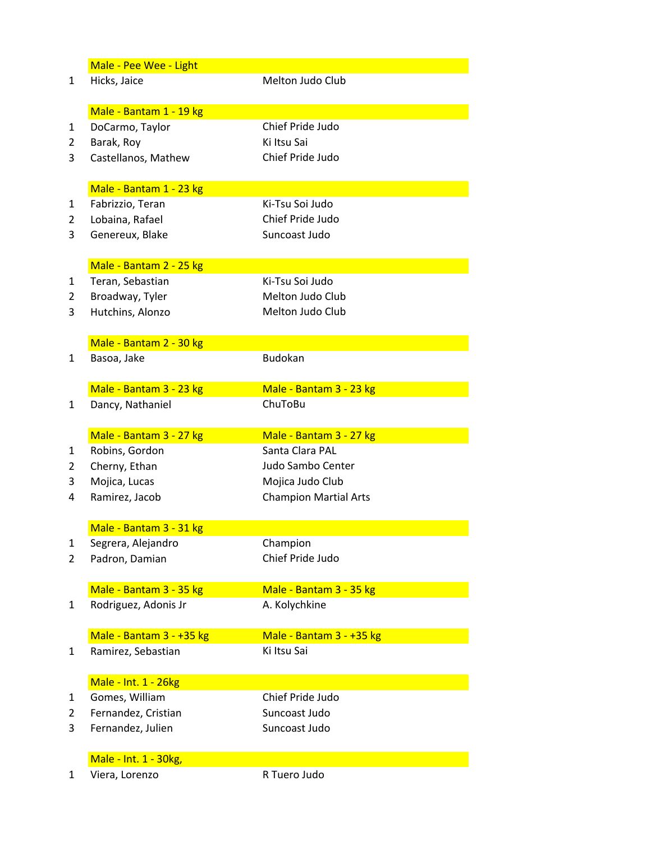|                | Male - Pee Wee - Light                  |                              |  |
|----------------|-----------------------------------------|------------------------------|--|
| $\mathbf{1}$   | Hicks, Jaice                            | Melton Judo Club             |  |
|                |                                         |                              |  |
|                | Male - Bantam 1 - 19 kg                 |                              |  |
| 1              | DoCarmo, Taylor                         | Chief Pride Judo             |  |
| 2              | Barak, Roy                              | Ki Itsu Sai                  |  |
| 3              | Castellanos, Mathew                     | Chief Pride Judo             |  |
|                |                                         |                              |  |
|                | Male - Bantam 1 - 23 kg                 |                              |  |
| $\mathbf{1}$   | Fabrizzio, Teran                        | Ki-Tsu Soi Judo              |  |
| $\overline{2}$ | Lobaina, Rafael                         | Chief Pride Judo             |  |
| 3              | Genereux, Blake                         | Suncoast Judo                |  |
|                |                                         |                              |  |
|                | Male - Bantam 2 - 25 kg                 |                              |  |
| 1              | Teran, Sebastian                        | Ki-Tsu Soi Judo              |  |
| $\overline{2}$ | Broadway, Tyler                         | Melton Judo Club             |  |
| 3              | Hutchins, Alonzo                        | Melton Judo Club             |  |
|                |                                         |                              |  |
|                | Male - Bantam 2 - 30 kg                 |                              |  |
| $\mathbf{1}$   | Basoa, Jake                             | <b>Budokan</b>               |  |
|                |                                         |                              |  |
|                | Male - Bantam 3 - 23 kg                 | Male - Bantam 3 - 23 kg      |  |
| 1              | Dancy, Nathaniel                        | ChuToBu                      |  |
|                |                                         |                              |  |
|                |                                         |                              |  |
|                | Male - Bantam 3 - 27 kg                 | Male - Bantam 3 - 27 kg      |  |
| 1              | Robins, Gordon                          | Santa Clara PAL              |  |
| $\overline{2}$ | Cherny, Ethan                           | Judo Sambo Center            |  |
| 3              |                                         | Mojica Judo Club             |  |
| 4              | Mojica, Lucas<br>Ramirez, Jacob         | <b>Champion Martial Arts</b> |  |
|                |                                         |                              |  |
|                | Male - Bantam 3 - 31 kg                 |                              |  |
| 1              | Segrera, Alejandro                      | Champion                     |  |
| $\overline{2}$ | Padron, Damian                          | Chief Pride Judo             |  |
|                |                                         |                              |  |
|                | Male - Bantam 3 - 35 kg                 | Male - Bantam 3 - 35 kg      |  |
| 1              | Rodriguez, Adonis Jr                    | A. Kolychkine                |  |
|                |                                         |                              |  |
|                | Male - Bantam 3 - +35 kg                | Male - Bantam 3 - +35 kg     |  |
| 1              | Ramirez, Sebastian                      | Ki Itsu Sai                  |  |
|                |                                         |                              |  |
|                | Male - Int. 1 - 26kg                    |                              |  |
| 1              | Gomes, William                          | Chief Pride Judo             |  |
| 2              | Fernandez, Cristian                     | Suncoast Judo                |  |
| 3              | Fernandez, Julien                       | Suncoast Judo                |  |
|                |                                         |                              |  |
|                | Male - Int. 1 - 30kg,<br>Viera, Lorenzo | R Tuero Judo                 |  |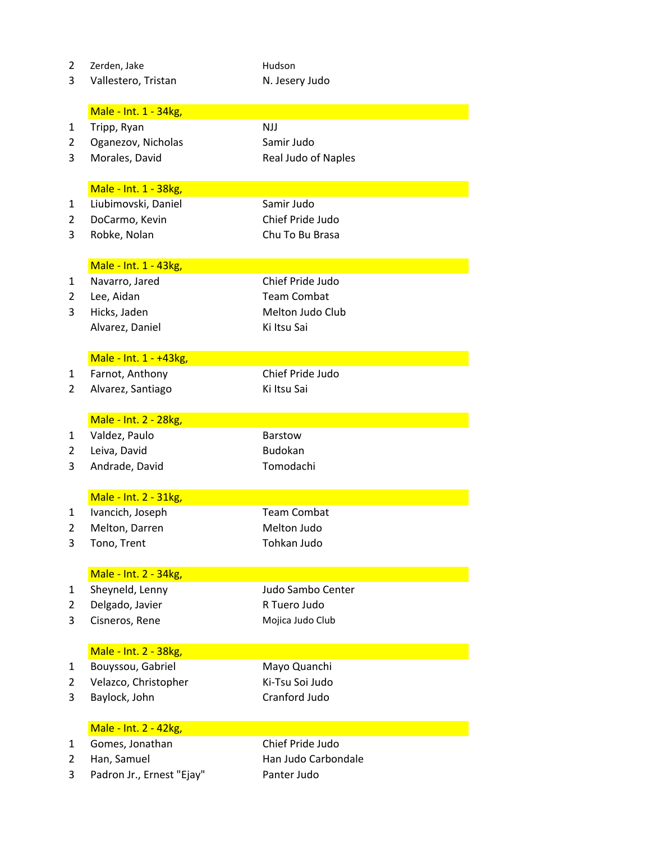| $\overline{2}$      | Zerden, Jake              | Hudson              |
|---------------------|---------------------------|---------------------|
| 3                   | Vallestero, Tristan       | N. Jesery Judo      |
|                     |                           |                     |
|                     | Male - Int. 1 - 34kg,     |                     |
| $\mathbf{1}$        | Tripp, Ryan               | <b>NJJ</b>          |
| 2                   | Oganezov, Nicholas        | Samir Judo          |
| 3                   | Morales, David            | Real Judo of Naples |
|                     |                           |                     |
|                     | Male - Int. 1 - 38kg,     |                     |
| $\mathbf{1}$        | Liubimovski, Daniel       | Samir Judo          |
| $\overline{2}$      |                           | Chief Pride Judo    |
|                     | DoCarmo, Kevin            |                     |
| 3                   | Robke, Nolan              | Chu To Bu Brasa     |
|                     |                           |                     |
|                     | Male - Int. 1 - 43kg,     | Chief Pride Judo    |
| $\mathbf{1}$        | Navarro, Jared            |                     |
| $\overline{2}$      | Lee, Aidan                | <b>Team Combat</b>  |
| 3                   | Hicks, Jaden              | Melton Judo Club    |
|                     | Alvarez, Daniel           | Ki Itsu Sai         |
|                     |                           |                     |
|                     | Male - Int. 1 - +43kg,    | Chief Pride Judo    |
| 1<br>$\overline{2}$ | Farnot, Anthony           | Ki Itsu Sai         |
|                     | Alvarez, Santiago         |                     |
|                     | Male - Int. 2 - 28kg,     |                     |
| 1                   | Valdez, Paulo             | <b>Barstow</b>      |
| $\overline{2}$      | Leiva, David              | <b>Budokan</b>      |
| 3                   | Andrade, David            | Tomodachi           |
|                     |                           |                     |
|                     | Male - Int. 2 - 31kg,     |                     |
| 1                   | Ivancich, Joseph          | <b>Team Combat</b>  |
| 2                   | Melton, Darren            | Melton Judo         |
| 3                   | Tono, Trent               | Tohkan Judo         |
|                     |                           |                     |
|                     | Male - Int. 2 - 34kg,     |                     |
| 1                   | Sheyneld, Lenny           | Judo Sambo Center   |
| $\overline{2}$      | Delgado, Javier           | R Tuero Judo        |
| 3                   | Cisneros, Rene            | Mojica Judo Club    |
|                     |                           |                     |
|                     | Male - Int. 2 - 38kg,     |                     |
| 1                   | Bouyssou, Gabriel         | Mayo Quanchi        |
| $\overline{2}$      | Velazco, Christopher      | Ki-Tsu Soi Judo     |
| 3                   | Baylock, John             | Cranford Judo       |
|                     |                           |                     |
|                     | Male - Int. 2 - 42kg,     |                     |
| $\mathbf{1}$        | Gomes, Jonathan           | Chief Pride Judo    |
| 2                   | Han, Samuel               | Han Judo Carbondale |
| 3                   | Padron Jr., Ernest "Ejay" | Panter Judo         |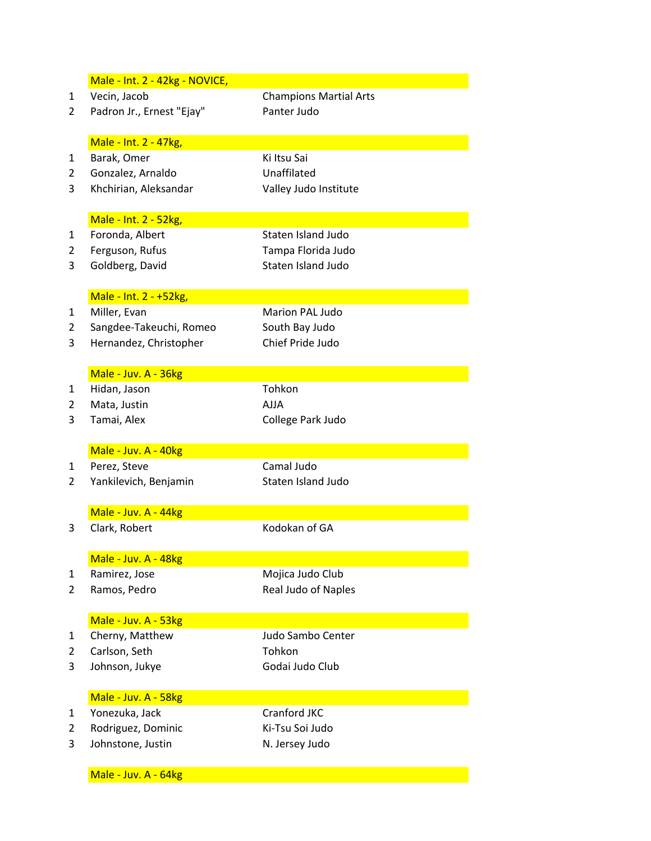|                | Male - Int. 2 - 42kg - NOVICE, |                               |  |
|----------------|--------------------------------|-------------------------------|--|
| 1              | Vecin, Jacob                   | <b>Champions Martial Arts</b> |  |
| $\overline{2}$ | Padron Jr., Ernest "Ejay"      | Panter Judo                   |  |
|                |                                |                               |  |
|                | Male - Int. 2 - 47kg,          |                               |  |
| 1              | Barak, Omer                    | Ki Itsu Sai                   |  |
| 2              | Gonzalez, Arnaldo              | Unaffilated                   |  |
| 3              | Khchirian, Aleksandar          | Valley Judo Institute         |  |
|                |                                |                               |  |
|                | Male - Int. 2 - 52kg,          |                               |  |
| 1              | Foronda, Albert                | Staten Island Judo            |  |
| 2              | Ferguson, Rufus                | Tampa Florida Judo            |  |
| 3              | Goldberg, David                | Staten Island Judo            |  |
|                |                                |                               |  |
|                | Male - Int. 2 - +52kg,         |                               |  |
| 1              | Miller, Evan                   | Marion PAL Judo               |  |
| 2              | Sangdee-Takeuchi, Romeo        | South Bay Judo                |  |
| 3              | Hernandez, Christopher         | Chief Pride Judo              |  |
|                |                                |                               |  |
|                | Male - Juv. A - 36kg           |                               |  |
| 1              | Hidan, Jason                   | Tohkon                        |  |
| $\overline{2}$ | Mata, Justin                   | <b>AJJA</b>                   |  |
| 3              | Tamai, Alex                    | College Park Judo             |  |
|                |                                |                               |  |
|                | Male - Juv. A - 40kg           |                               |  |
| 1              | Perez, Steve                   | Camal Judo                    |  |
| 2              | Yankilevich, Benjamin          | Staten Island Judo            |  |
|                |                                |                               |  |
|                |                                |                               |  |
|                | Male - Juv. A - 44kg           |                               |  |
| 3              | Clark, Robert                  | Kodokan of GA                 |  |
|                |                                |                               |  |
|                | Male - Juv. A - 48kg           |                               |  |
| 1              | Ramirez, Jose                  | Mojica Judo Club              |  |
| $\overline{2}$ | Ramos, Pedro                   | Real Judo of Naples           |  |
|                |                                |                               |  |
|                | Male - Juv. A - 53kg           |                               |  |
| 1              | Cherny, Matthew                | Judo Sambo Center             |  |
| 2              | Carlson, Seth                  | Tohkon                        |  |
| 3              | Johnson, Jukye                 | Godai Judo Club               |  |
|                |                                |                               |  |
| 1              | Male - Juv. A - 58kg           | Cranford JKC                  |  |
|                | Yonezuka, Jack                 |                               |  |
| $\overline{2}$ | Rodriguez, Dominic             | Ki-Tsu Soi Judo               |  |
| 3              | Johnstone, Justin              | N. Jersey Judo                |  |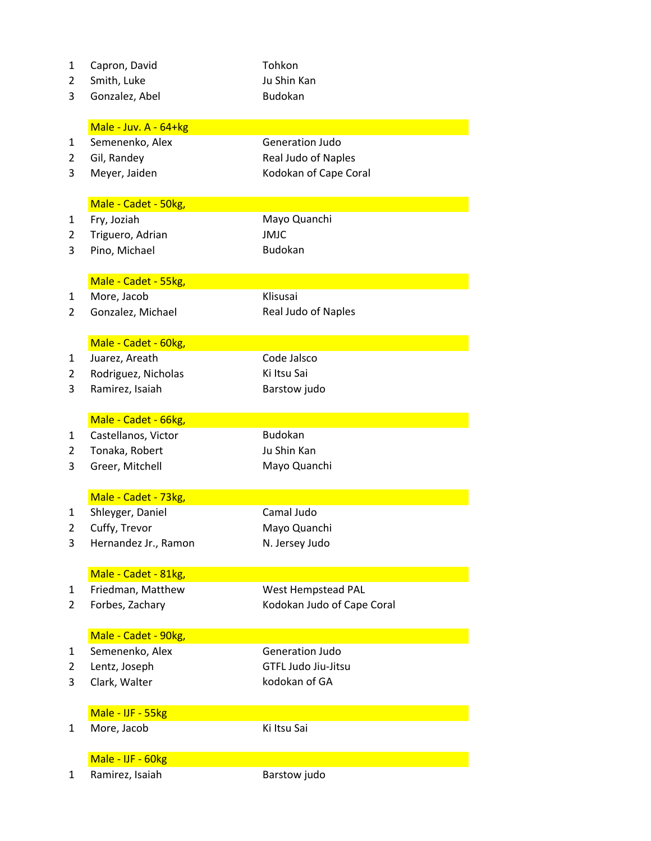| 1              | Capron, David         | Tohkon                     |
|----------------|-----------------------|----------------------------|
| $\overline{2}$ | Smith, Luke           | Ju Shin Kan                |
| 3              | Gonzalez, Abel        | <b>Budokan</b>             |
|                |                       |                            |
|                | Male - Juv. A - 64+kg |                            |
| 1              | Semenenko, Alex       | <b>Generation Judo</b>     |
| 2              | Gil, Randey           | Real Judo of Naples        |
| 3              | Meyer, Jaiden         | Kodokan of Cape Coral      |
|                |                       |                            |
|                | Male - Cadet - 50kg,  |                            |
| 1              | Fry, Joziah           | Mayo Quanchi               |
| $\overline{2}$ | Triguero, Adrian      | <b>JMJC</b>                |
| 3              | Pino, Michael         | <b>Budokan</b>             |
|                | Male - Cadet - 55kg,  |                            |
| $\mathbf{1}$   | More, Jacob           | Klisusai                   |
| 2              | Gonzalez, Michael     | Real Judo of Naples        |
|                |                       |                            |
|                | Male - Cadet - 60kg,  |                            |
| 1              | Juarez, Areath        | Code Jalsco                |
| $\overline{2}$ | Rodriguez, Nicholas   | Ki Itsu Sai                |
| 3              | Ramirez, Isaiah       | Barstow judo               |
|                |                       |                            |
|                | Male - Cadet - 66kg,  |                            |
| 1              | Castellanos, Victor   | <b>Budokan</b>             |
| $\overline{2}$ | Tonaka, Robert        | Ju Shin Kan                |
| 3              | Greer, Mitchell       | Mayo Quanchi               |
|                | Male - Cadet - 73kg,  |                            |
| 1              | Shleyger, Daniel      | Camal Judo                 |
| 2              |                       |                            |
|                | Cuffy, Trevor         | Mayo Quanchi               |
| 3              | Hernandez Jr., Ramon  | N. Jersey Judo             |
|                | Male - Cadet - 81kg,  |                            |
| $\mathbf{1}$   | Friedman, Matthew     | West Hempstead PAL         |
| 2              | Forbes, Zachary       | Kodokan Judo of Cape Coral |
|                |                       |                            |
|                | Male - Cadet - 90kg,  |                            |
| $\mathbf{1}$   | Semenenko, Alex       | <b>Generation Judo</b>     |
| $\overline{2}$ | Lentz, Joseph         | <b>GTFL Judo Jiu-Jitsu</b> |
| 3              | Clark, Walter         | kodokan of GA              |
|                | Male - IJF - 55kg     |                            |
| $\mathbf{1}$   | More, Jacob           | Ki Itsu Sai                |
|                |                       |                            |
|                | Male - IJF - 60kg     |                            |
| 1              | Ramirez, Isaiah       | Barstow judo               |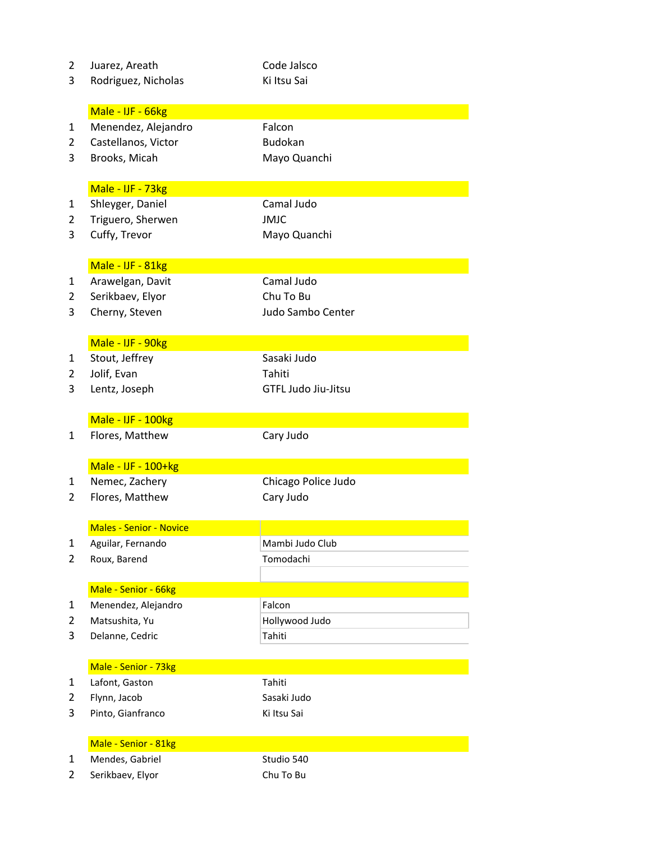| $\overline{2}$ | Juarez, Areath                 | Code Jalsco         |
|----------------|--------------------------------|---------------------|
| 3              | Rodriguez, Nicholas            | Ki Itsu Sai         |
|                |                                |                     |
|                | Male - IJF - 66kg              |                     |
| $\mathbf{1}$   | Menendez, Alejandro            | Falcon              |
| 2              | Castellanos, Victor            | <b>Budokan</b>      |
| 3              | Brooks, Micah                  | Mayo Quanchi        |
|                |                                |                     |
|                | Male - IJF - 73kg              |                     |
| $\mathbf{1}$   | Shleyger, Daniel               | Camal Judo          |
| 2              | Triguero, Sherwen              | <b>JMJC</b>         |
| 3              | Cuffy, Trevor                  | Mayo Quanchi        |
|                |                                |                     |
|                | Male - IJF - 81kg              |                     |
| 1              | Arawelgan, Davit               | Camal Judo          |
| 2              | Serikbaev, Elyor               | Chu To Bu           |
| 3              | Cherny, Steven                 | Judo Sambo Center   |
|                |                                |                     |
|                | Male - IJF - 90kg              |                     |
| 1              | Stout, Jeffrey                 | Sasaki Judo         |
| 2              | Jolif, Evan                    | Tahiti              |
| 3              | Lentz, Joseph                  | GTFL Judo Jiu-Jitsu |
|                |                                |                     |
|                | Male - IJF - 100kg             |                     |
| 1              | Flores, Matthew                | Cary Judo           |
|                |                                |                     |
|                | Male - IJF - 100+kg            |                     |
| $\mathbf{1}$   | Nemec, Zachery                 | Chicago Police Judo |
| 2              | Flores, Matthew                | Cary Judo           |
|                |                                |                     |
|                | <b>Males - Senior - Novice</b> |                     |
| $\mathbf{1}$   | Aguilar, Fernando              | Mambi Judo Club     |
| 2              | Roux, Barend                   | Tomodachi           |
|                |                                |                     |
|                | Male - Senior - 66kg           |                     |
| 1              | Menendez, Alejandro            | Falcon              |
| 2              | Matsushita, Yu                 | Hollywood Judo      |
| 3              | Delanne, Cedric                | Tahiti              |
|                |                                |                     |
|                | Male - Senior - 73kg           |                     |
| $\mathbf{1}$   | Lafont, Gaston                 | Tahiti              |
| 2              | Flynn, Jacob                   | Sasaki Judo         |
| 3              | Pinto, Gianfranco              | Ki Itsu Sai         |
|                |                                |                     |
| 1              | Male - Senior - 81kg           |                     |
|                | Mendes, Gabriel                | Studio 540          |
| $\overline{2}$ | Serikbaev, Elyor               | Chu To Bu           |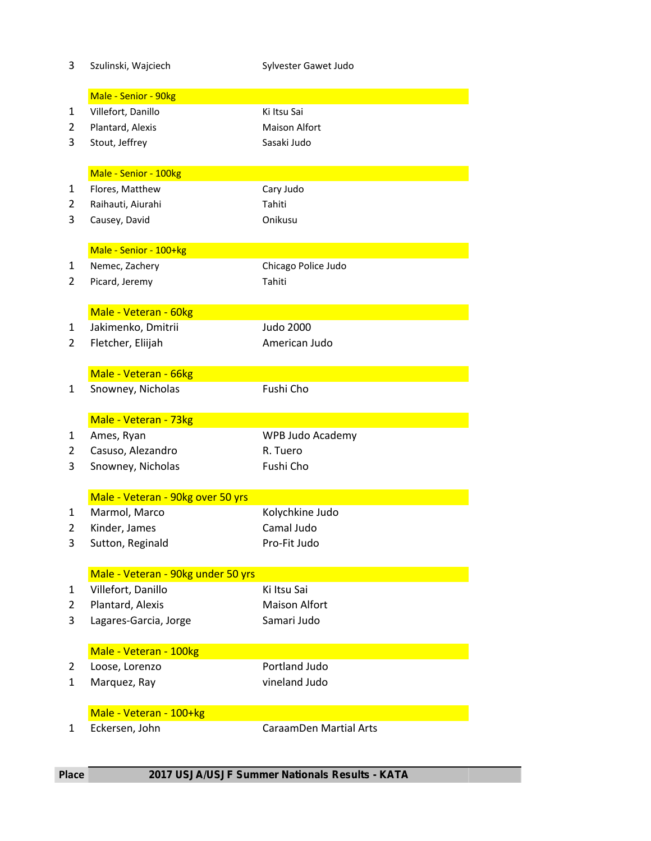| 3              | Szulinski, Wajciech                        | Sylvester Gawet Judo          |
|----------------|--------------------------------------------|-------------------------------|
|                | Male - Senior - 90kg                       |                               |
| 1              | Villefort, Danillo                         | Ki Itsu Sai                   |
| 2              | Plantard, Alexis                           | <b>Maison Alfort</b>          |
| 3              | Stout, Jeffrey                             | Sasaki Judo                   |
|                |                                            |                               |
|                | Male - Senior - 100kg                      |                               |
| 1              | Flores, Matthew                            | Cary Judo                     |
| 2              | Raihauti, Aiurahi                          | Tahiti                        |
| 3              | Causey, David                              | Onikusu                       |
|                |                                            |                               |
|                | Male - Senior - 100+kg                     |                               |
| $\mathbf{1}$   | Nemec, Zachery                             | Chicago Police Judo           |
| 2              | Picard, Jeremy                             | Tahiti                        |
|                |                                            |                               |
|                | Male - Veteran - 60kg                      |                               |
| $\mathbf{1}$   | Jakimenko, Dmitrii                         | <b>Judo 2000</b>              |
| 2              | Fletcher, Eliijah                          | American Judo                 |
|                |                                            |                               |
| 1              | Male - Veteran - 66kg<br>Snowney, Nicholas | Fushi Cho                     |
|                |                                            |                               |
|                | Male - Veteran - 73kg                      |                               |
| 1              | Ames, Ryan                                 | WPB Judo Academy              |
| $\overline{2}$ | Casuso, Alezandro                          | R. Tuero                      |
| 3              | Snowney, Nicholas                          | Fushi Cho                     |
|                |                                            |                               |
|                | Male - Veteran - 90kg over 50 yrs          |                               |
| 1              | Marmol, Marco                              | Kolychkine Judo               |
| 2              | Kinder, James                              | Camal Judo                    |
| 3              | Sutton, Reginald                           | Pro-Fit Judo                  |
|                |                                            |                               |
|                | Male - Veteran - 90kg under 50 yrs         |                               |
| $\mathbf{1}$   | Villefort, Danillo                         | Ki Itsu Sai                   |
| 2              | Plantard, Alexis                           | <b>Maison Alfort</b>          |
| 3              | Lagares-Garcia, Jorge                      | Samari Judo                   |
|                | Male - Veteran - 100kg                     |                               |
| 2              |                                            |                               |
|                |                                            | Portland Judo                 |
| 1              | Loose, Lorenzo                             | vineland Judo                 |
|                | Marquez, Ray                               |                               |
|                | Male - Veteran - 100+kg                    |                               |
| $\mathbf{1}$   | Eckersen, John                             | <b>CaraamDen Martial Arts</b> |